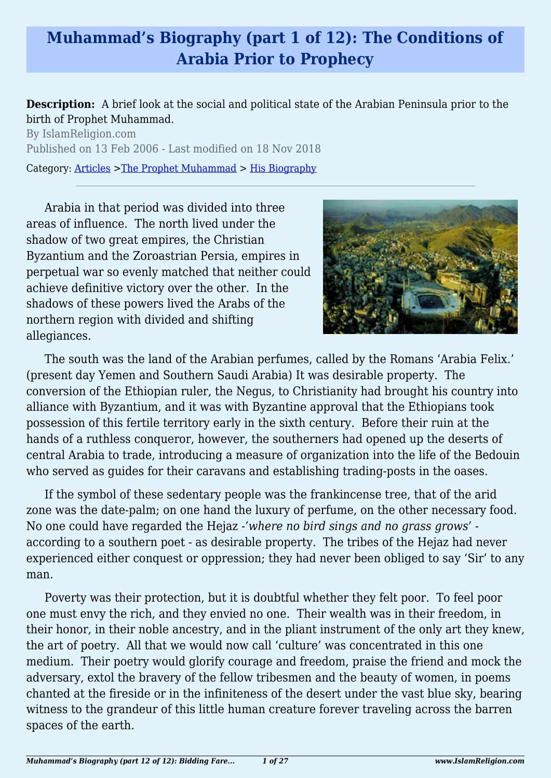# **Muhammad's Biography (part 1 of 12): The Conditions of Arabia Prior to Prophecy**

#### **Description:** A brief look at the social and political state of the Arabian Peninsula prior to the birth of Prophet Muhammad.

By IslamReligion.com Published on 13 Feb 2006 - Last modified on 18 Nov 2018 Category: [Articles](http://www.islamreligion.com/articles/) >[The Prophet Muhammad](http://www.islamreligion.com/category/79/) > [His Biography](http://www.islamreligion.com/category/82/)

Arabia in that period was divided into three areas of influence. The north lived under the shadow of two great empires, the Christian Byzantium and the Zoroastrian Persia, empires in perpetual war so evenly matched that neither could achieve definitive victory over the other. In the shadows of these powers lived the Arabs of the northern region with divided and shifting allegiances.



The south was the land of the Arabian perfumes, called by the Romans 'Arabia Felix.' (present day Yemen and Southern Saudi Arabia) It was desirable property. The conversion of the Ethiopian ruler, the Negus, to Christianity had brought his country into alliance with Byzantium, and it was with Byzantine approval that the Ethiopians took possession of this fertile territory early in the sixth century. Before their ruin at the hands of a ruthless conqueror, however, the southerners had opened up the deserts of central Arabia to trade, introducing a measure of organization into the life of the Bedouin who served as guides for their caravans and establishing trading-posts in the oases.

If the symbol of these sedentary people was the frankincense tree, that of the arid zone was the date-palm; on one hand the luxury of perfume, on the other necessary food. No one could have regarded the Hejaz -*'where no bird sings and no grass grows'* according to a southern poet - as desirable property. The tribes of the Hejaz had never experienced either conquest or oppression; they had never been obliged to say 'Sir' to any man.

Poverty was their protection, but it is doubtful whether they felt poor. To feel poor one must envy the rich, and they envied no one. Their wealth was in their freedom, in their honor, in their noble ancestry, and in the pliant instrument of the only art they knew, the art of poetry. All that we would now call 'culture' was concentrated in this one medium. Their poetry would glorify courage and freedom, praise the friend and mock the adversary, extol the bravery of the fellow tribesmen and the beauty of women, in poems chanted at the fireside or in the infiniteness of the desert under the vast blue sky, bearing witness to the grandeur of this little human creature forever traveling across the barren spaces of the earth.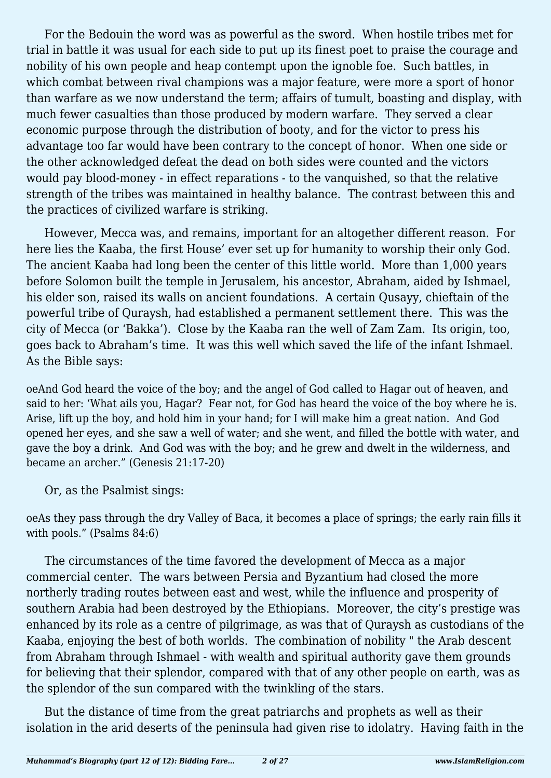For the Bedouin the word was as powerful as the sword. When hostile tribes met for trial in battle it was usual for each side to put up its finest poet to praise the courage and nobility of his own people and heap contempt upon the ignoble foe. Such battles, in which combat between rival champions was a major feature, were more a sport of honor than warfare as we now understand the term; affairs of tumult, boasting and display, with much fewer casualties than those produced by modern warfare. They served a clear economic purpose through the distribution of booty, and for the victor to press his advantage too far would have been contrary to the concept of honor. When one side or the other acknowledged defeat the dead on both sides were counted and the victors would pay blood-money - in effect reparations - to the vanquished, so that the relative strength of the tribes was maintained in healthy balance. The contrast between this and the practices of civilized warfare is striking.

However, Mecca was, and remains, important for an altogether different reason. For here lies the Kaaba, the first House' ever set up for humanity to worship their only God. The ancient Kaaba had long been the center of this little world. More than 1,000 years before Solomon built the temple in Jerusalem, his ancestor, Abraham, aided by Ishmael, his elder son, raised its walls on ancient foundations. A certain Qusayy, chieftain of the powerful tribe of Quraysh, had established a permanent settlement there. This was the city of Mecca (or 'Bakka'). Close by the Kaaba ran the well of Zam Zam. Its origin, too, goes back to Abraham's time. It was this well which saved the life of the infant Ishmael. As the Bible says:

oeAnd God heard the voice of the boy; and the angel of God called to Hagar out of heaven, and said to her: 'What ails you, Hagar? Fear not, for God has heard the voice of the boy where he is. Arise, lift up the boy, and hold him in your hand; for I will make him a great nation. And God opened her eyes, and she saw a well of water; and she went, and filled the bottle with water, and gave the boy a drink. And God was with the boy; and he grew and dwelt in the wilderness, and became an archer." (Genesis 21:17-20)

Or, as the Psalmist sings:

oeAs they pass through the dry Valley of Baca, it becomes a place of springs; the early rain fills it with pools." (Psalms 84:6)

The circumstances of the time favored the development of Mecca as a major commercial center. The wars between Persia and Byzantium had closed the more northerly trading routes between east and west, while the influence and prosperity of southern Arabia had been destroyed by the Ethiopians. Moreover, the city's prestige was enhanced by its role as a centre of pilgrimage, as was that of Quraysh as custodians of the Kaaba, enjoying the best of both worlds. The combination of nobility " the Arab descent from Abraham through Ishmael - with wealth and spiritual authority gave them grounds for believing that their splendor, compared with that of any other people on earth, was as the splendor of the sun compared with the twinkling of the stars.

But the distance of time from the great patriarchs and prophets as well as their isolation in the arid deserts of the peninsula had given rise to idolatry. Having faith in the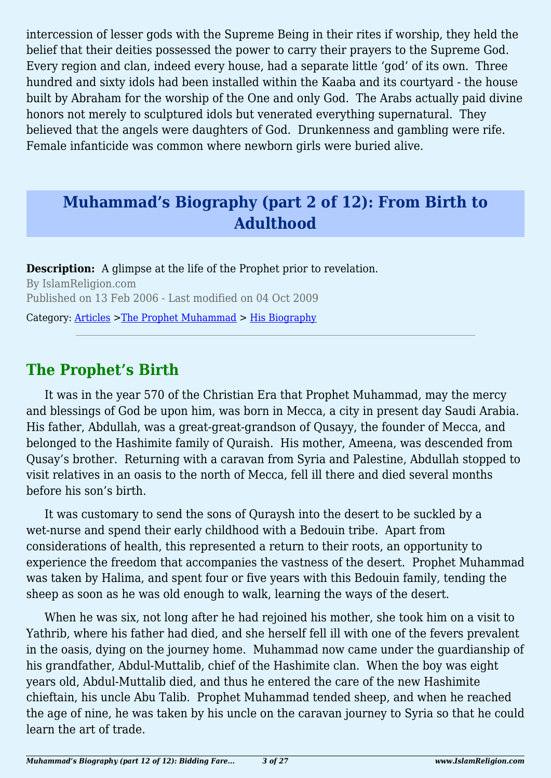intercession of lesser gods with the Supreme Being in their rites if worship, they held the belief that their deities possessed the power to carry their prayers to the Supreme God. Every region and clan, indeed every house, had a separate little 'god' of its own. Three hundred and sixty idols had been installed within the Kaaba and its courtyard - the house built by Abraham for the worship of the One and only God. The Arabs actually paid divine honors not merely to sculptured idols but venerated everything supernatural. They believed that the angels were daughters of God. Drunkenness and gambling were rife. Female infanticide was common where newborn girls were buried alive.

## **Muhammad's Biography (part 2 of 12): From Birth to Adulthood**

**Description:** A glimpse at the life of the Prophet prior to revelation. By IslamReligion.com Published on 13 Feb 2006 - Last modified on 04 Oct 2009

Category: [Articles](http://www.islamreligion.com/articles/) >[The Prophet Muhammad](http://www.islamreligion.com/category/79/) > [His Biography](http://www.islamreligion.com/category/82/)

## **The Prophet's Birth**

It was in the year 570 of the Christian Era that Prophet Muhammad, may the mercy and blessings of God be upon him, was born in Mecca, a city in present day Saudi Arabia. His father, Abdullah, was a great-great-grandson of Qusayy, the founder of Mecca, and belonged to the Hashimite family of Quraish. His mother, Ameena, was descended from Qusay's brother. Returning with a caravan from Syria and Palestine, Abdullah stopped to visit relatives in an oasis to the north of Mecca, fell ill there and died several months before his son's birth.

It was customary to send the sons of Quraysh into the desert to be suckled by a wet-nurse and spend their early childhood with a Bedouin tribe. Apart from considerations of health, this represented a return to their roots, an opportunity to experience the freedom that accompanies the vastness of the desert. Prophet Muhammad was taken by Halima, and spent four or five years with this Bedouin family, tending the sheep as soon as he was old enough to walk, learning the ways of the desert.

When he was six, not long after he had rejoined his mother, she took him on a visit to Yathrib, where his father had died, and she herself fell ill with one of the fevers prevalent in the oasis, dying on the journey home. Muhammad now came under the guardianship of his grandfather, Abdul-Muttalib, chief of the Hashimite clan. When the boy was eight years old, Abdul-Muttalib died, and thus he entered the care of the new Hashimite chieftain, his uncle Abu Talib. Prophet Muhammad tended sheep, and when he reached the age of nine, he was taken by his uncle on the caravan journey to Syria so that he could learn the art of trade.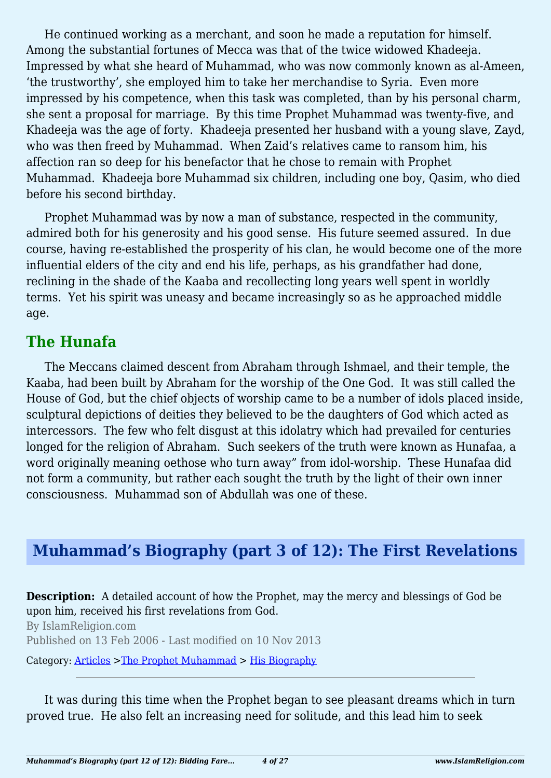He continued working as a merchant, and soon he made a reputation for himself. Among the substantial fortunes of Mecca was that of the twice widowed Khadeeja. Impressed by what she heard of Muhammad, who was now commonly known as al-Ameen, 'the trustworthy', she employed him to take her merchandise to Syria. Even more impressed by his competence, when this task was completed, than by his personal charm, she sent a proposal for marriage. By this time Prophet Muhammad was twenty-five, and Khadeeja was the age of forty. Khadeeja presented her husband with a young slave, Zayd, who was then freed by Muhammad. When Zaid's relatives came to ransom him, his affection ran so deep for his benefactor that he chose to remain with Prophet Muhammad. Khadeeja bore Muhammad six children, including one boy, Qasim, who died before his second birthday.

Prophet Muhammad was by now a man of substance, respected in the community, admired both for his generosity and his good sense. His future seemed assured. In due course, having re-established the prosperity of his clan, he would become one of the more influential elders of the city and end his life, perhaps, as his grandfather had done, reclining in the shade of the Kaaba and recollecting long years well spent in worldly terms. Yet his spirit was uneasy and became increasingly so as he approached middle age.

#### **The Hunafa**

The Meccans claimed descent from Abraham through Ishmael, and their temple, the Kaaba, had been built by Abraham for the worship of the One God. It was still called the House of God, but the chief objects of worship came to be a number of idols placed inside, sculptural depictions of deities they believed to be the daughters of God which acted as intercessors. The few who felt disgust at this idolatry which had prevailed for centuries longed for the religion of Abraham. Such seekers of the truth were known as Hunafaa, a word originally meaning oethose who turn away" from idol-worship. These Hunafaa did not form a community, but rather each sought the truth by the light of their own inner consciousness. Muhammad son of Abdullah was one of these.

## **Muhammad's Biography (part 3 of 12): The First Revelations**

**Description:** A detailed account of how the Prophet, may the mercy and blessings of God be upon him, received his first revelations from God.

By IslamReligion.com Published on 13 Feb 2006 - Last modified on 10 Nov 2013

Category: [Articles](http://www.islamreligion.com/articles/) >[The Prophet Muhammad](http://www.islamreligion.com/category/79/) > [His Biography](http://www.islamreligion.com/category/82/)

It was during this time when the Prophet began to see pleasant dreams which in turn proved true. He also felt an increasing need for solitude, and this lead him to seek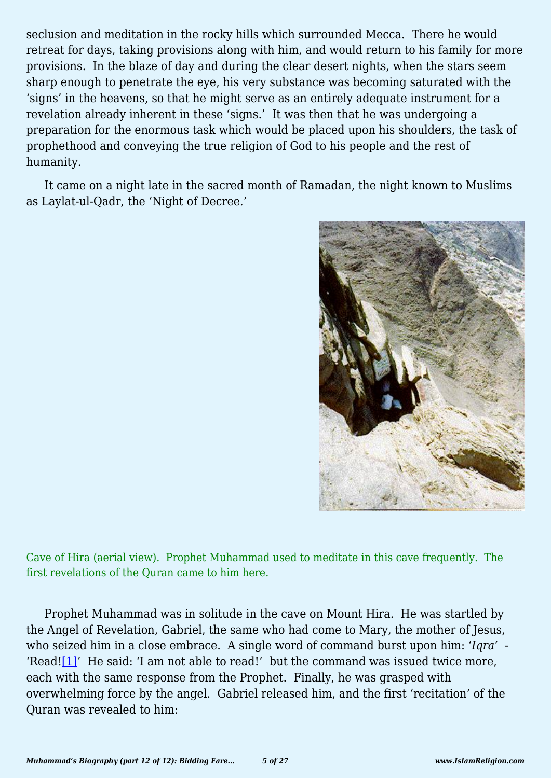seclusion and meditation in the rocky hills which surrounded Mecca. There he would retreat for days, taking provisions along with him, and would return to his family for more provisions. In the blaze of day and during the clear desert nights, when the stars seem sharp enough to penetrate the eye, his very substance was becoming saturated with the 'signs' in the heavens, so that he might serve as an entirely adequate instrument for a revelation already inherent in these 'signs.' It was then that he was undergoing a preparation for the enormous task which would be placed upon his shoulders, the task of prophethood and conveying the true religion of God to his people and the rest of humanity.

It came on a night late in the sacred month of Ramadan, the night known to Muslims as Laylat-ul-Qadr, the 'Night of Decree.'



Cave of Hira (aerial view). Prophet Muhammad used to meditate in this cave frequently. The first revelations of the Quran came to him here.

<span id="page-4-0"></span>Prophet Muhammad was in solitude in the cave on Mount Hira. He was startled by the Angel of Revelation, Gabriel, the same who had come to Mary, the mother of Jesus, who seized him in a close embrace. A single word of command burst upon him: '*Iqra'* - 'Read![\[1\]](#page-6-0)' He said: 'I am not able to read!' but the command was issued twice more, each with the same response from the Prophet. Finally, he was grasped with overwhelming force by the angel. Gabriel released him, and the first 'recitation' of the Quran was revealed to him: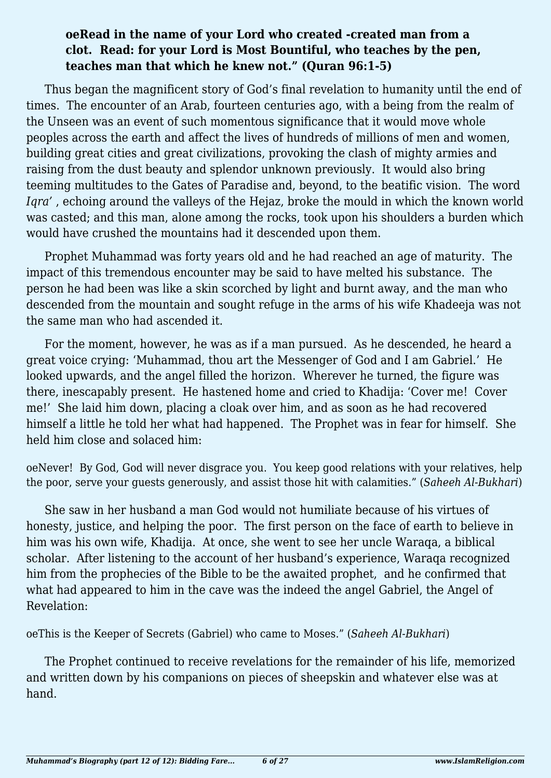#### **oeRead in the name of your Lord who created -created man from a clot. Read: for your Lord is Most Bountiful, who teaches by the pen, teaches man that which he knew not." (Quran 96:1-5)**

Thus began the magnificent story of God's final revelation to humanity until the end of times. The encounter of an Arab, fourteen centuries ago, with a being from the realm of the Unseen was an event of such momentous significance that it would move whole peoples across the earth and affect the lives of hundreds of millions of men and women, building great cities and great civilizations, provoking the clash of mighty armies and raising from the dust beauty and splendor unknown previously. It would also bring teeming multitudes to the Gates of Paradise and, beyond, to the beatific vision. The word *Iqra'* , echoing around the valleys of the Hejaz, broke the mould in which the known world was casted; and this man, alone among the rocks, took upon his shoulders a burden which would have crushed the mountains had it descended upon them.

Prophet Muhammad was forty years old and he had reached an age of maturity. The impact of this tremendous encounter may be said to have melted his substance. The person he had been was like a skin scorched by light and burnt away, and the man who descended from the mountain and sought refuge in the arms of his wife Khadeeja was not the same man who had ascended it.

For the moment, however, he was as if a man pursued. As he descended, he heard a great voice crying: 'Muhammad, thou art the Messenger of God and I am Gabriel.' He looked upwards, and the angel filled the horizon. Wherever he turned, the figure was there, inescapably present. He hastened home and cried to Khadija: 'Cover me! Cover me!' She laid him down, placing a cloak over him, and as soon as he had recovered himself a little he told her what had happened. The Prophet was in fear for himself. She held him close and solaced him:

oeNever! By God, God will never disgrace you. You keep good relations with your relatives, help the poor, serve your guests generously, and assist those hit with calamities." (*Saheeh Al-Bukhari*)

She saw in her husband a man God would not humiliate because of his virtues of honesty, justice, and helping the poor. The first person on the face of earth to believe in him was his own wife, Khadija. At once, she went to see her uncle Waraqa, a biblical scholar. After listening to the account of her husband's experience, Waraqa recognized him from the prophecies of the Bible to be the awaited prophet, and he confirmed that what had appeared to him in the cave was the indeed the angel Gabriel, the Angel of Revelation:

oeThis is the Keeper of Secrets (Gabriel) who came to Moses." (*Saheeh Al-Bukhari*)

The Prophet continued to receive revelations for the remainder of his life, memorized and written down by his companions on pieces of sheepskin and whatever else was at hand.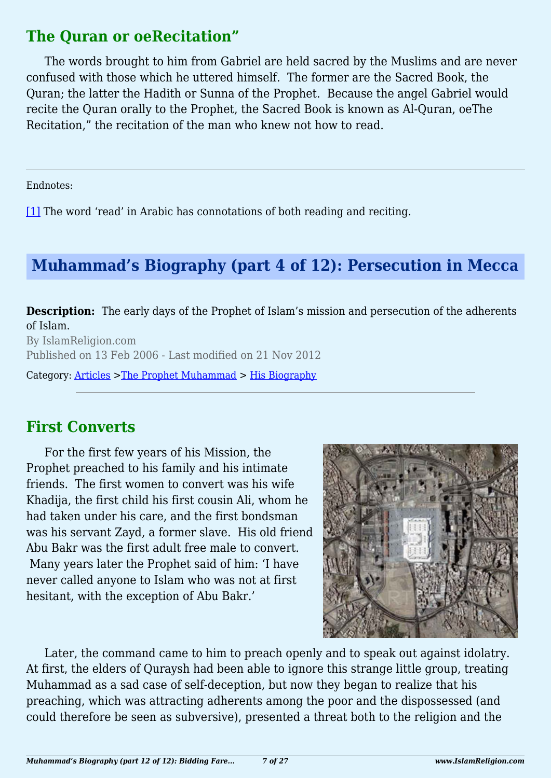#### **The Quran or oeRecitation"**

The words brought to him from Gabriel are held sacred by the Muslims and are never confused with those which he uttered himself. The former are the Sacred Book, the Quran; the latter the Hadith or Sunna of the Prophet. Because the angel Gabriel would recite the Quran orally to the Prophet, the Sacred Book is known as Al-Quran, oeThe Recitation," the recitation of the man who knew not how to read.

<span id="page-6-0"></span>Endnotes:

[\[1\]](#page-4-0) The word 'read' in Arabic has connotations of both reading and reciting.

## **Muhammad's Biography (part 4 of 12): Persecution in Mecca**

**Description:** The early days of the Prophet of Islam's mission and persecution of the adherents of Islam.

By IslamReligion.com Published on 13 Feb 2006 - Last modified on 21 Nov 2012

Category: [Articles](http://www.islamreligion.com/articles/) >[The Prophet Muhammad](http://www.islamreligion.com/category/79/) > [His Biography](http://www.islamreligion.com/category/82/)

## **First Converts**

For the first few years of his Mission, the Prophet preached to his family and his intimate friends. The first women to convert was his wife Khadija, the first child his first cousin Ali, whom he had taken under his care, and the first bondsman was his servant Zayd, a former slave. His old friend Abu Bakr was the first adult free male to convert. Many years later the Prophet said of him: 'I have never called anyone to Islam who was not at first hesitant, with the exception of Abu Bakr.'



Later, the command came to him to preach openly and to speak out against idolatry. At first, the elders of Quraysh had been able to ignore this strange little group, treating Muhammad as a sad case of self-deception, but now they began to realize that his preaching, which was attracting adherents among the poor and the dispossessed (and could therefore be seen as subversive), presented a threat both to the religion and the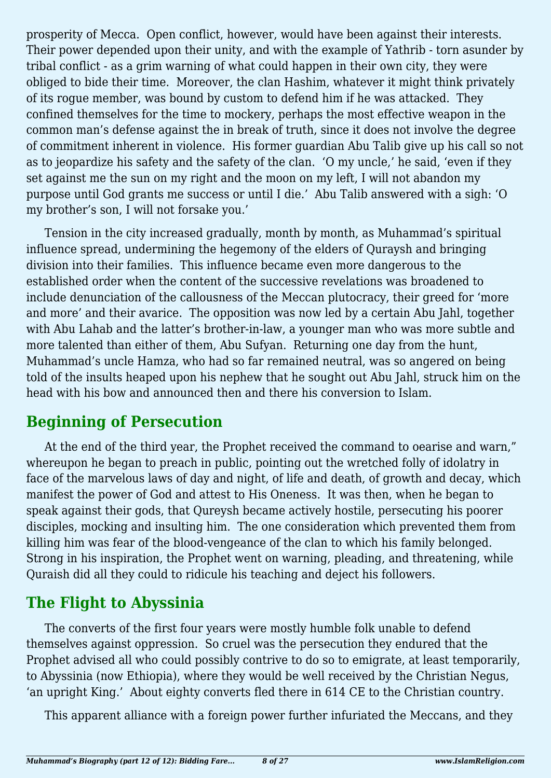prosperity of Mecca. Open conflict, however, would have been against their interests. Their power depended upon their unity, and with the example of Yathrib - torn asunder by tribal conflict - as a grim warning of what could happen in their own city, they were obliged to bide their time. Moreover, the clan Hashim, whatever it might think privately of its rogue member, was bound by custom to defend him if he was attacked. They confined themselves for the time to mockery, perhaps the most effective weapon in the common man's defense against the in break of truth, since it does not involve the degree of commitment inherent in violence. His former guardian Abu Talib give up his call so not as to jeopardize his safety and the safety of the clan. 'O my uncle,' he said, 'even if they set against me the sun on my right and the moon on my left, I will not abandon my purpose until God grants me success or until I die.' Abu Talib answered with a sigh: 'O my brother's son, I will not forsake you.'

Tension in the city increased gradually, month by month, as Muhammad's spiritual influence spread, undermining the hegemony of the elders of Quraysh and bringing division into their families. This influence became even more dangerous to the established order when the content of the successive revelations was broadened to include denunciation of the callousness of the Meccan plutocracy, their greed for 'more and more' and their avarice. The opposition was now led by a certain Abu Jahl, together with Abu Lahab and the latter's brother-in-law, a younger man who was more subtle and more talented than either of them, Abu Sufyan. Returning one day from the hunt, Muhammad's uncle Hamza, who had so far remained neutral, was so angered on being told of the insults heaped upon his nephew that he sought out Abu Jahl, struck him on the head with his bow and announced then and there his conversion to Islam.

## **Beginning of Persecution**

At the end of the third year, the Prophet received the command to oearise and warn," whereupon he began to preach in public, pointing out the wretched folly of idolatry in face of the marvelous laws of day and night, of life and death, of growth and decay, which manifest the power of God and attest to His Oneness. It was then, when he began to speak against their gods, that Qureysh became actively hostile, persecuting his poorer disciples, mocking and insulting him. The one consideration which prevented them from killing him was fear of the blood-vengeance of the clan to which his family belonged. Strong in his inspiration, the Prophet went on warning, pleading, and threatening, while Quraish did all they could to ridicule his teaching and deject his followers.

## **The Flight to Abyssinia**

The converts of the first four years were mostly humble folk unable to defend themselves against oppression. So cruel was the persecution they endured that the Prophet advised all who could possibly contrive to do so to emigrate, at least temporarily, to Abyssinia (now Ethiopia), where they would be well received by the Christian Negus, 'an upright King.' About eighty converts fled there in 614 CE to the Christian country.

This apparent alliance with a foreign power further infuriated the Meccans, and they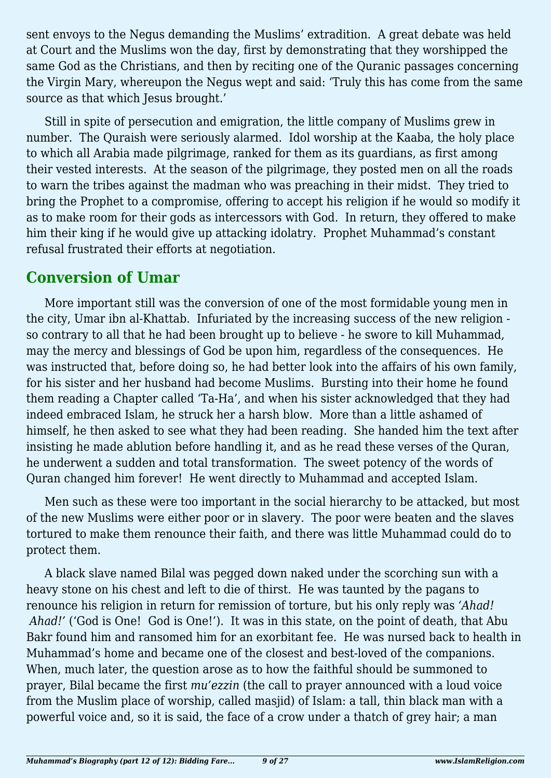sent envoys to the Negus demanding the Muslims' extradition. A great debate was held at Court and the Muslims won the day, first by demonstrating that they worshipped the same God as the Christians, and then by reciting one of the Quranic passages concerning the Virgin Mary, whereupon the Negus wept and said: 'Truly this has come from the same source as that which Jesus brought.'

Still in spite of persecution and emigration, the little company of Muslims grew in number. The Quraish were seriously alarmed. Idol worship at the Kaaba, the holy place to which all Arabia made pilgrimage, ranked for them as its guardians, as first among their vested interests. At the season of the pilgrimage, they posted men on all the roads to warn the tribes against the madman who was preaching in their midst. They tried to bring the Prophet to a compromise, offering to accept his religion if he would so modify it as to make room for their gods as intercessors with God. In return, they offered to make him their king if he would give up attacking idolatry. Prophet Muhammad's constant refusal frustrated their efforts at negotiation.

#### **Conversion of Umar**

More important still was the conversion of one of the most formidable young men in the city, Umar ibn al-Khattab. Infuriated by the increasing success of the new religion so contrary to all that he had been brought up to believe - he swore to kill Muhammad, may the mercy and blessings of God be upon him, regardless of the consequences. He was instructed that, before doing so, he had better look into the affairs of his own family, for his sister and her husband had become Muslims. Bursting into their home he found them reading a Chapter called 'Ta-Ha', and when his sister acknowledged that they had indeed embraced Islam, he struck her a harsh blow. More than a little ashamed of himself, he then asked to see what they had been reading. She handed him the text after insisting he made ablution before handling it, and as he read these verses of the Quran, he underwent a sudden and total transformation. The sweet potency of the words of Quran changed him forever! He went directly to Muhammad and accepted Islam.

Men such as these were too important in the social hierarchy to be attacked, but most of the new Muslims were either poor or in slavery. The poor were beaten and the slaves tortured to make them renounce their faith, and there was little Muhammad could do to protect them.

A black slave named Bilal was pegged down naked under the scorching sun with a heavy stone on his chest and left to die of thirst. He was taunted by the pagans to renounce his religion in return for remission of torture, but his only reply was *'Ahad! Ahad!'* ('God is One! God is One!'). It was in this state, on the point of death, that Abu Bakr found him and ransomed him for an exorbitant fee. He was nursed back to health in Muhammad's home and became one of the closest and best-loved of the companions. When, much later, the question arose as to how the faithful should be summoned to prayer, Bilal became the first *mu'ezzin* (the call to prayer announced with a loud voice from the Muslim place of worship, called masjid) of Islam: a tall, thin black man with a powerful voice and, so it is said, the face of a crow under a thatch of grey hair; a man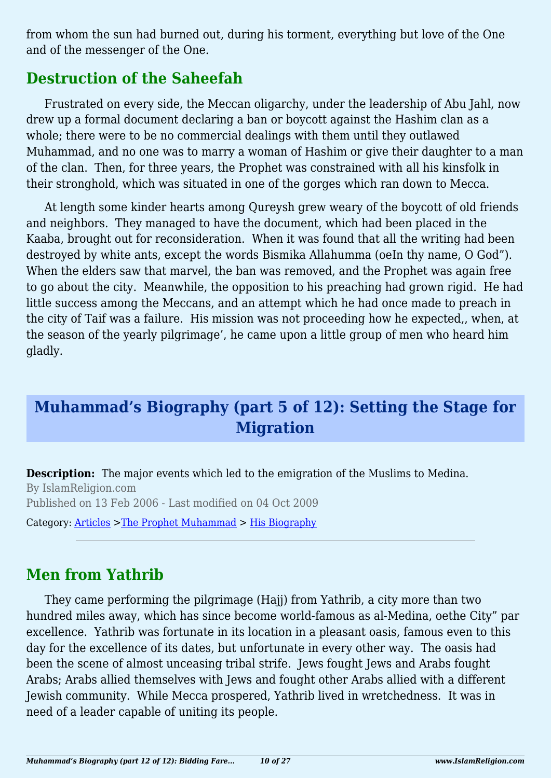from whom the sun had burned out, during his torment, everything but love of the One and of the messenger of the One.

## **Destruction of the Saheefah**

Frustrated on every side, the Meccan oligarchy, under the leadership of Abu Jahl, now drew up a formal document declaring a ban or boycott against the Hashim clan as a whole; there were to be no commercial dealings with them until they outlawed Muhammad, and no one was to marry a woman of Hashim or give their daughter to a man of the clan. Then, for three years, the Prophet was constrained with all his kinsfolk in their stronghold, which was situated in one of the gorges which ran down to Mecca.

At length some kinder hearts among Qureysh grew weary of the boycott of old friends and neighbors. They managed to have the document, which had been placed in the Kaaba, brought out for reconsideration. When it was found that all the writing had been destroyed by white ants, except the words Bismika Allahumma (oeIn thy name, O God"). When the elders saw that marvel, the ban was removed, and the Prophet was again free to go about the city. Meanwhile, the opposition to his preaching had grown rigid. He had little success among the Meccans, and an attempt which he had once made to preach in the city of Taif was a failure. His mission was not proceeding how he expected,, when, at the season of the yearly pilgrimage', he came upon a little group of men who heard him gladly.

# **Muhammad's Biography (part 5 of 12): Setting the Stage for Migration**

**Description:** The major events which led to the emigration of the Muslims to Medina. By IslamReligion.com Published on 13 Feb 2006 - Last modified on 04 Oct 2009

Category: [Articles](http://www.islamreligion.com/articles/) >[The Prophet Muhammad](http://www.islamreligion.com/category/79/) > [His Biography](http://www.islamreligion.com/category/82/)

## **Men from Yathrib**

They came performing the pilgrimage (Hajj) from Yathrib, a city more than two hundred miles away, which has since become world-famous as al-Medina, oethe City" par excellence. Yathrib was fortunate in its location in a pleasant oasis, famous even to this day for the excellence of its dates, but unfortunate in every other way. The oasis had been the scene of almost unceasing tribal strife. Jews fought Jews and Arabs fought Arabs; Arabs allied themselves with Jews and fought other Arabs allied with a different Jewish community. While Mecca prospered, Yathrib lived in wretchedness. It was in need of a leader capable of uniting its people.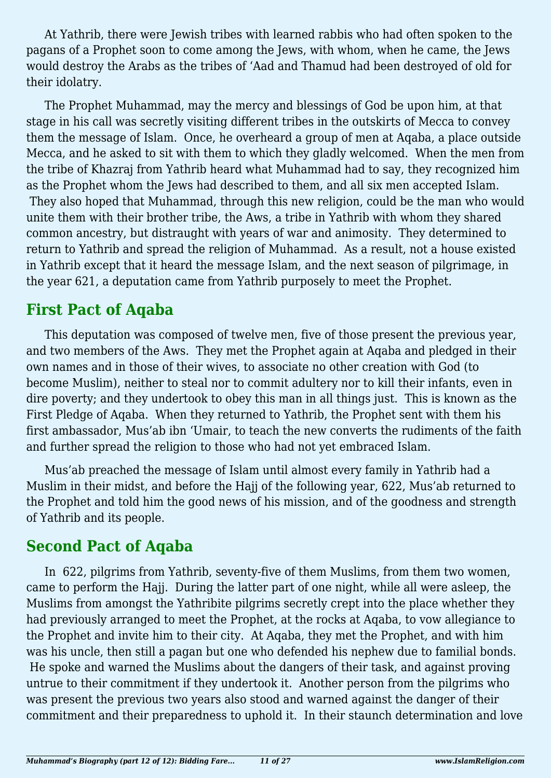At Yathrib, there were Jewish tribes with learned rabbis who had often spoken to the pagans of a Prophet soon to come among the Jews, with whom, when he came, the Jews would destroy the Arabs as the tribes of 'Aad and Thamud had been destroyed of old for their idolatry.

The Prophet Muhammad, may the mercy and blessings of God be upon him, at that stage in his call was secretly visiting different tribes in the outskirts of Mecca to convey them the message of Islam. Once, he overheard a group of men at Aqaba, a place outside Mecca, and he asked to sit with them to which they gladly welcomed. When the men from the tribe of Khazraj from Yathrib heard what Muhammad had to say, they recognized him as the Prophet whom the Jews had described to them, and all six men accepted Islam. They also hoped that Muhammad, through this new religion, could be the man who would unite them with their brother tribe, the Aws, a tribe in Yathrib with whom they shared common ancestry, but distraught with years of war and animosity. They determined to return to Yathrib and spread the religion of Muhammad. As a result, not a house existed in Yathrib except that it heard the message Islam, and the next season of pilgrimage, in the year 621, a deputation came from Yathrib purposely to meet the Prophet.

#### **First Pact of Aqaba**

This deputation was composed of twelve men, five of those present the previous year, and two members of the Aws. They met the Prophet again at Aqaba and pledged in their own names and in those of their wives, to associate no other creation with God (to become Muslim), neither to steal nor to commit adultery nor to kill their infants, even in dire poverty; and they undertook to obey this man in all things just. This is known as the First Pledge of Aqaba. When they returned to Yathrib, the Prophet sent with them his first ambassador, Mus'ab ibn 'Umair, to teach the new converts the rudiments of the faith and further spread the religion to those who had not yet embraced Islam.

Mus'ab preached the message of Islam until almost every family in Yathrib had a Muslim in their midst, and before the Hajj of the following year, 622, Mus'ab returned to the Prophet and told him the good news of his mission, and of the goodness and strength of Yathrib and its people.

## **Second Pact of Aqaba**

In 622, pilgrims from Yathrib, seventy-five of them Muslims, from them two women, came to perform the Hajj. During the latter part of one night, while all were asleep, the Muslims from amongst the Yathribite pilgrims secretly crept into the place whether they had previously arranged to meet the Prophet, at the rocks at Aqaba, to vow allegiance to the Prophet and invite him to their city. At Aqaba, they met the Prophet, and with him was his uncle, then still a pagan but one who defended his nephew due to familial bonds. He spoke and warned the Muslims about the dangers of their task, and against proving untrue to their commitment if they undertook it. Another person from the pilgrims who was present the previous two years also stood and warned against the danger of their commitment and their preparedness to uphold it. In their staunch determination and love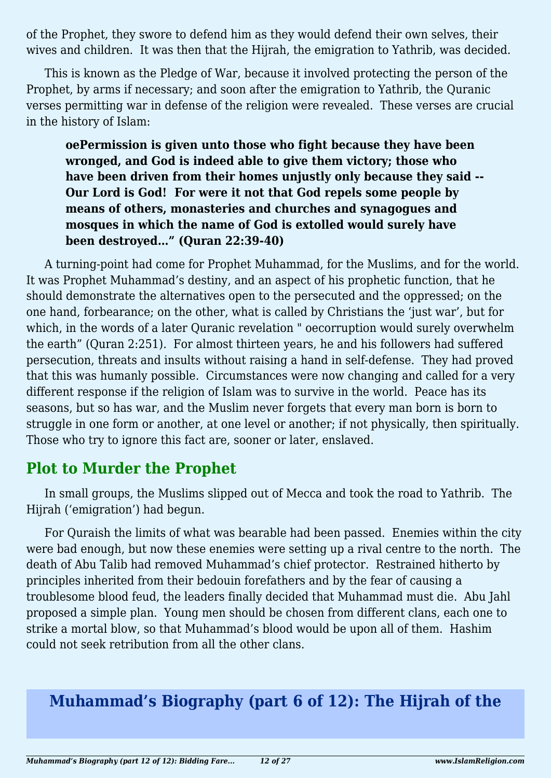of the Prophet, they swore to defend him as they would defend their own selves, their wives and children. It was then that the Hijrah, the emigration to Yathrib, was decided.

This is known as the Pledge of War, because it involved protecting the person of the Prophet, by arms if necessary; and soon after the emigration to Yathrib, the Quranic verses permitting war in defense of the religion were revealed. These verses are crucial in the history of Islam:

**oePermission is given unto those who fight because they have been wronged, and God is indeed able to give them victory; those who have been driven from their homes unjustly only because they said -- Our Lord is God! For were it not that God repels some people by means of others, monasteries and churches and synagogues and mosques in which the name of God is extolled would surely have been destroyed…" (Quran 22:39-40)**

A turning-point had come for Prophet Muhammad, for the Muslims, and for the world. It was Prophet Muhammad's destiny, and an aspect of his prophetic function, that he should demonstrate the alternatives open to the persecuted and the oppressed; on the one hand, forbearance; on the other, what is called by Christians the 'just war', but for which, in the words of a later Quranic revelation " oecorruption would surely overwhelm the earth" (Quran 2:251)*.* For almost thirteen years, he and his followers had suffered persecution, threats and insults without raising a hand in self-defense. They had proved that this was humanly possible. Circumstances were now changing and called for a very different response if the religion of Islam was to survive in the world. Peace has its seasons, but so has war, and the Muslim never forgets that every man born is born to struggle in one form or another, at one level or another; if not physically, then spiritually. Those who try to ignore this fact are, sooner or later, enslaved.

## **Plot to Murder the Prophet**

In small groups, the Muslims slipped out of Mecca and took the road to Yathrib. The Hijrah ('emigration') had begun.

For Quraish the limits of what was bearable had been passed. Enemies within the city were bad enough, but now these enemies were setting up a rival centre to the north. The death of Abu Talib had removed Muhammad's chief protector. Restrained hitherto by principles inherited from their bedouin forefathers and by the fear of causing a troublesome blood feud, the leaders finally decided that Muhammad must die. Abu Jahl proposed a simple plan. Young men should be chosen from different clans, each one to strike a mortal blow, so that Muhammad's blood would be upon all of them. Hashim could not seek retribution from all the other clans.

# **Muhammad's Biography (part 6 of 12): The Hijrah of the**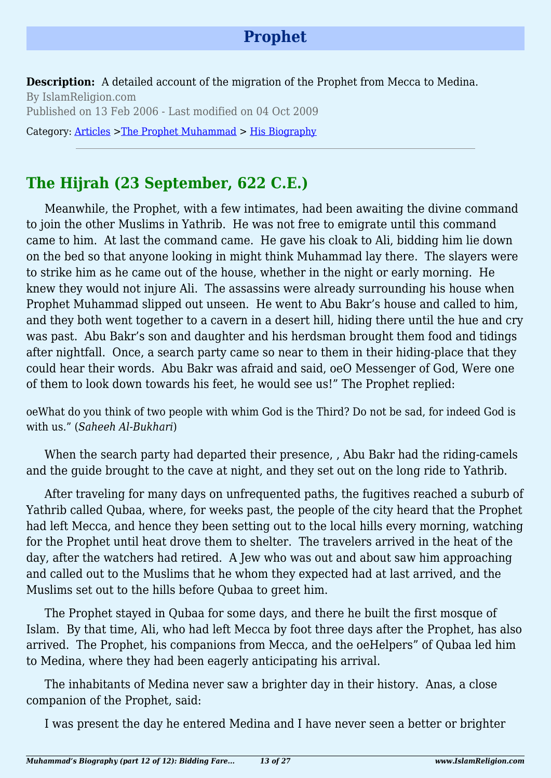## **Prophet**

**Description:** A detailed account of the migration of the Prophet from Mecca to Medina. By IslamReligion.com Published on 13 Feb 2006 - Last modified on 04 Oct 2009

Category: [Articles](http://www.islamreligion.com/articles/) >[The Prophet Muhammad](http://www.islamreligion.com/category/79/) > [His Biography](http://www.islamreligion.com/category/82/)

# **The Hijrah (23 September, 622 C.E.)**

Meanwhile, the Prophet, with a few intimates, had been awaiting the divine command to join the other Muslims in Yathrib. He was not free to emigrate until this command came to him. At last the command came. He gave his cloak to Ali, bidding him lie down on the bed so that anyone looking in might think Muhammad lay there. The slayers were to strike him as he came out of the house, whether in the night or early morning. He knew they would not injure Ali. The assassins were already surrounding his house when Prophet Muhammad slipped out unseen. He went to Abu Bakr's house and called to him, and they both went together to a cavern in a desert hill, hiding there until the hue and cry was past. Abu Bakr's son and daughter and his herdsman brought them food and tidings after nightfall. Once, a search party came so near to them in their hiding-place that they could hear their words. Abu Bakr was afraid and said, oeO Messenger of God, Were one of them to look down towards his feet, he would see us!" The Prophet replied:

oeWhat do you think of two people with whim God is the Third? Do not be sad, for indeed God is with us." (*Saheeh Al-Bukhari*)

When the search party had departed their presence, , Abu Bakr had the riding-camels and the guide brought to the cave at night, and they set out on the long ride to Yathrib.

After traveling for many days on unfrequented paths, the fugitives reached a suburb of Yathrib called Qubaa, where, for weeks past, the people of the city heard that the Prophet had left Mecca, and hence they been setting out to the local hills every morning, watching for the Prophet until heat drove them to shelter. The travelers arrived in the heat of the day, after the watchers had retired. A Jew who was out and about saw him approaching and called out to the Muslims that he whom they expected had at last arrived, and the Muslims set out to the hills before Qubaa to greet him.

The Prophet stayed in Qubaa for some days, and there he built the first mosque of Islam. By that time, Ali, who had left Mecca by foot three days after the Prophet, has also arrived. The Prophet, his companions from Mecca, and the oeHelpers" of Qubaa led him to Medina, where they had been eagerly anticipating his arrival.

The inhabitants of Medina never saw a brighter day in their history. Anas, a close companion of the Prophet, said:

I was present the day he entered Medina and I have never seen a better or brighter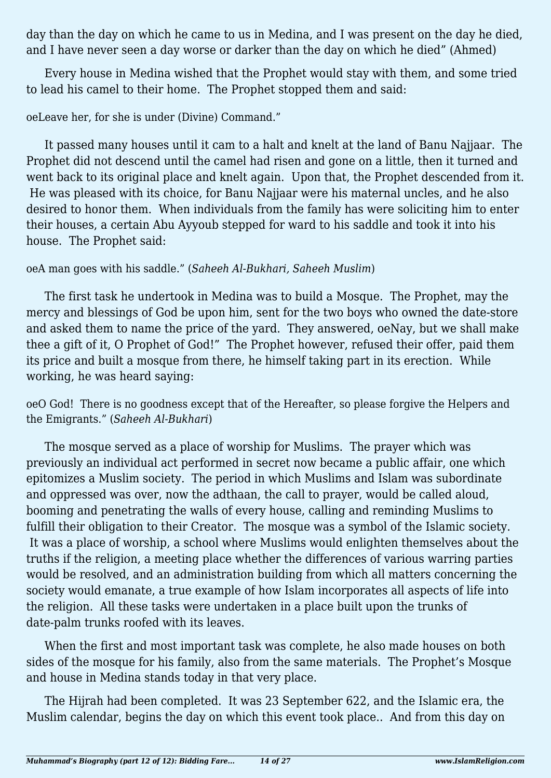day than the day on which he came to us in Medina, and I was present on the day he died, and I have never seen a day worse or darker than the day on which he died" (Ahmed)

Every house in Medina wished that the Prophet would stay with them, and some tried to lead his camel to their home. The Prophet stopped them and said:

#### oeLeave her, for she is under (Divine) Command."

It passed many houses until it cam to a halt and knelt at the land of Banu Najjaar. The Prophet did not descend until the camel had risen and gone on a little, then it turned and went back to its original place and knelt again. Upon that, the Prophet descended from it. He was pleased with its choice, for Banu Najjaar were his maternal uncles, and he also desired to honor them. When individuals from the family has were soliciting him to enter their houses, a certain Abu Ayyoub stepped for ward to his saddle and took it into his house. The Prophet said:

#### oeA man goes with his saddle." (*Saheeh Al-Bukhari, Saheeh Muslim*)

The first task he undertook in Medina was to build a Mosque. The Prophet, may the mercy and blessings of God be upon him, sent for the two boys who owned the date-store and asked them to name the price of the yard. They answered, oeNay, but we shall make thee a gift of it, O Prophet of God!" The Prophet however, refused their offer, paid them its price and built a mosque from there, he himself taking part in its erection. While working, he was heard saying:

oeO God! There is no goodness except that of the Hereafter, so please forgive the Helpers and the Emigrants." (*Saheeh Al-Bukhari*)

The mosque served as a place of worship for Muslims. The prayer which was previously an individual act performed in secret now became a public affair, one which epitomizes a Muslim society. The period in which Muslims and Islam was subordinate and oppressed was over, now the adthaan, the call to prayer, would be called aloud, booming and penetrating the walls of every house, calling and reminding Muslims to fulfill their obligation to their Creator. The mosque was a symbol of the Islamic society. It was a place of worship, a school where Muslims would enlighten themselves about the truths if the religion, a meeting place whether the differences of various warring parties would be resolved, and an administration building from which all matters concerning the society would emanate, a true example of how Islam incorporates all aspects of life into the religion. All these tasks were undertaken in a place built upon the trunks of date-palm trunks roofed with its leaves.

When the first and most important task was complete, he also made houses on both sides of the mosque for his family, also from the same materials. The Prophet's Mosque and house in Medina stands today in that very place.

The Hijrah had been completed. It was 23 September 622, and the Islamic era, the Muslim calendar, begins the day on which this event took place.. And from this day on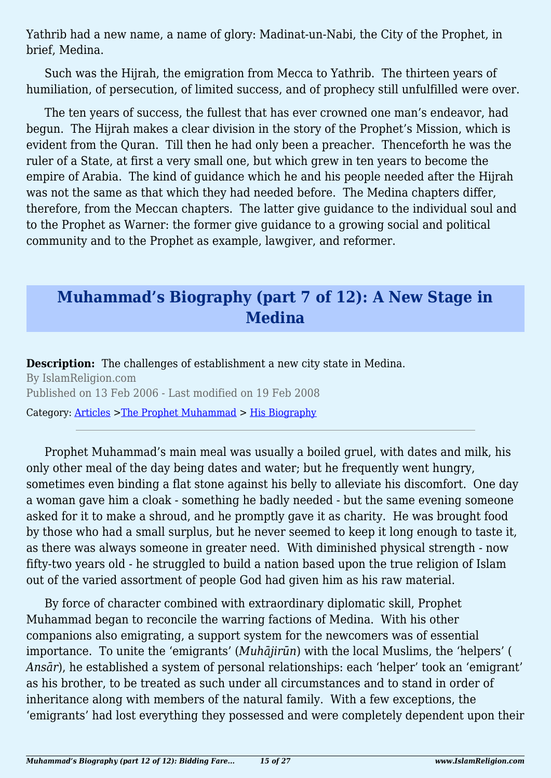Yathrib had a new name, a name of glory: Madinat-un-Nabi, the City of the Prophet, in brief, Medina.

Such was the Hijrah, the emigration from Mecca to Yathrib. The thirteen years of humiliation, of persecution, of limited success, and of prophecy still unfulfilled were over.

The ten years of success, the fullest that has ever crowned one man's endeavor, had begun. The Hijrah makes a clear division in the story of the Prophet's Mission, which is evident from the Quran. Till then he had only been a preacher. Thenceforth he was the ruler of a State, at first a very small one, but which grew in ten years to become the empire of Arabia. The kind of guidance which he and his people needed after the Hijrah was not the same as that which they had needed before. The Medina chapters differ, therefore, from the Meccan chapters. The latter give guidance to the individual soul and to the Prophet as Warner: the former give guidance to a growing social and political community and to the Prophet as example, lawgiver, and reformer.

## **Muhammad's Biography (part 7 of 12): A New Stage in Medina**

**Description:** The challenges of establishment a new city state in Medina. By IslamReligion.com Published on 13 Feb 2006 - Last modified on 19 Feb 2008 Category: [Articles](http://www.islamreligion.com/articles/) >[The Prophet Muhammad](http://www.islamreligion.com/category/79/) > [His Biography](http://www.islamreligion.com/category/82/)

Prophet Muhammad's main meal was usually a boiled gruel, with dates and milk, his only other meal of the day being dates and water; but he frequently went hungry, sometimes even binding a flat stone against his belly to alleviate his discomfort. One day a woman gave him a cloak - something he badly needed - but the same evening someone asked for it to make a shroud, and he promptly gave it as charity. He was brought food by those who had a small surplus, but he never seemed to keep it long enough to taste it, as there was always someone in greater need. With diminished physical strength - now fifty-two years old - he struggled to build a nation based upon the true religion of Islam out of the varied assortment of people God had given him as his raw material.

By force of character combined with extraordinary diplomatic skill, Prophet Muhammad began to reconcile the warring factions of Medina. With his other companions also emigrating, a support system for the newcomers was of essential importance. To unite the 'emigrants' (*Muhājirūn*) with the local Muslims, the 'helpers' ( *Ansār*), he established a system of personal relationships: each 'helper' took an 'emigrant' as his brother, to be treated as such under all circumstances and to stand in order of inheritance along with members of the natural family. With a few exceptions, the 'emigrants' had lost everything they possessed and were completely dependent upon their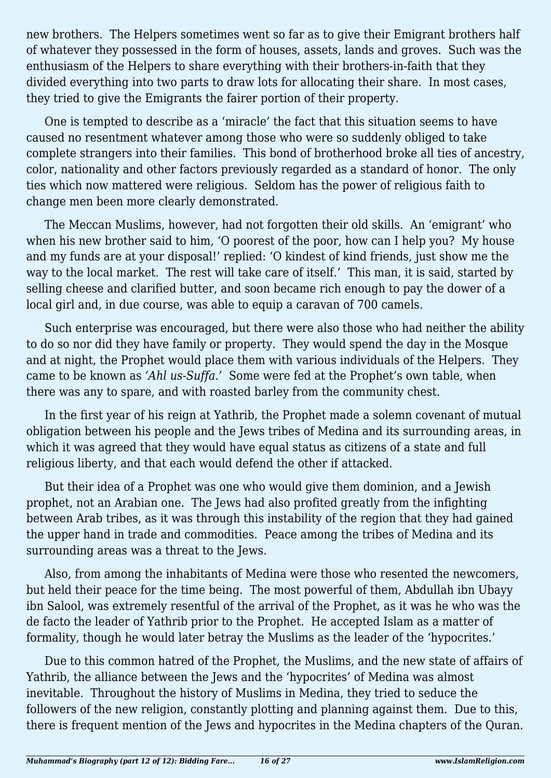new brothers. The Helpers sometimes went so far as to give their Emigrant brothers half of whatever they possessed in the form of houses, assets, lands and groves. Such was the enthusiasm of the Helpers to share everything with their brothers-in-faith that they divided everything into two parts to draw lots for allocating their share. In most cases, they tried to give the Emigrants the fairer portion of their property.

One is tempted to describe as a 'miracle' the fact that this situation seems to have caused no resentment whatever among those who were so suddenly obliged to take complete strangers into their families. This bond of brotherhood broke all ties of ancestry, color, nationality and other factors previously regarded as a standard of honor. The only ties which now mattered were religious. Seldom has the power of religious faith to change men been more clearly demonstrated.

The Meccan Muslims, however, had not forgotten their old skills. An 'emigrant' who when his new brother said to him, 'O poorest of the poor, how can I help you? My house and my funds are at your disposal!' replied: 'O kindest of kind friends, just show me the way to the local market. The rest will take care of itself.' This man, it is said, started by selling cheese and clarified butter, and soon became rich enough to pay the dower of a local girl and, in due course, was able to equip a caravan of 700 camels.

Such enterprise was encouraged, but there were also those who had neither the ability to do so nor did they have family or property. They would spend the day in the Mosque and at night, the Prophet would place them with various individuals of the Helpers. They came to be known as *'Ahl us-Suffa.'* Some were fed at the Prophet's own table, when there was any to spare, and with roasted barley from the community chest.

In the first year of his reign at Yathrib, the Prophet made a solemn covenant of mutual obligation between his people and the Jews tribes of Medina and its surrounding areas, in which it was agreed that they would have equal status as citizens of a state and full religious liberty, and that each would defend the other if attacked.

But their idea of a Prophet was one who would give them dominion, and a Jewish prophet, not an Arabian one. The Jews had also profited greatly from the infighting between Arab tribes, as it was through this instability of the region that they had gained the upper hand in trade and commodities. Peace among the tribes of Medina and its surrounding areas was a threat to the Jews.

Also, from among the inhabitants of Medina were those who resented the newcomers, but held their peace for the time being. The most powerful of them, Abdullah ibn Ubayy ibn Salool, was extremely resentful of the arrival of the Prophet, as it was he who was the de facto the leader of Yathrib prior to the Prophet. He accepted Islam as a matter of formality, though he would later betray the Muslims as the leader of the 'hypocrites.'

Due to this common hatred of the Prophet, the Muslims, and the new state of affairs of Yathrib, the alliance between the Jews and the 'hypocrites' of Medina was almost inevitable. Throughout the history of Muslims in Medina, they tried to seduce the followers of the new religion, constantly plotting and planning against them. Due to this, there is frequent mention of the Jews and hypocrites in the Medina chapters of the Quran.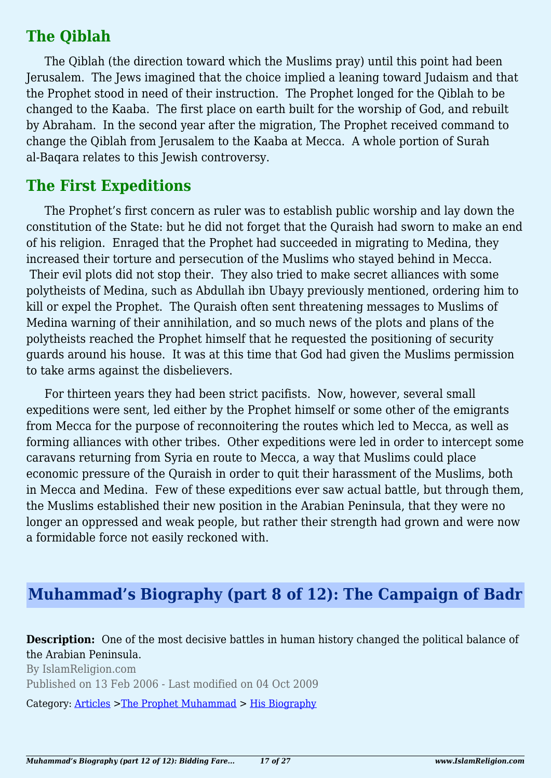## **The Qiblah**

The Qiblah (the direction toward which the Muslims pray) until this point had been Jerusalem. The Jews imagined that the choice implied a leaning toward Judaism and that the Prophet stood in need of their instruction. The Prophet longed for the Qiblah to be changed to the Kaaba. The first place on earth built for the worship of God, and rebuilt by Abraham. In the second year after the migration, The Prophet received command to change the Qiblah from Jerusalem to the Kaaba at Mecca. A whole portion of Surah al-Baqara relates to this Jewish controversy.

#### **The First Expeditions**

The Prophet's first concern as ruler was to establish public worship and lay down the constitution of the State: but he did not forget that the Quraish had sworn to make an end of his religion. Enraged that the Prophet had succeeded in migrating to Medina, they increased their torture and persecution of the Muslims who stayed behind in Mecca. Their evil plots did not stop their. They also tried to make secret alliances with some polytheists of Medina, such as Abdullah ibn Ubayy previously mentioned, ordering him to kill or expel the Prophet. The Quraish often sent threatening messages to Muslims of Medina warning of their annihilation, and so much news of the plots and plans of the polytheists reached the Prophet himself that he requested the positioning of security guards around his house. It was at this time that God had given the Muslims permission to take arms against the disbelievers.

For thirteen years they had been strict pacifists. Now, however, several small expeditions were sent, led either by the Prophet himself or some other of the emigrants from Mecca for the purpose of reconnoitering the routes which led to Mecca, as well as forming alliances with other tribes. Other expeditions were led in order to intercept some caravans returning from Syria en route to Mecca, a way that Muslims could place economic pressure of the Quraish in order to quit their harassment of the Muslims, both in Mecca and Medina. Few of these expeditions ever saw actual battle, but through them, the Muslims established their new position in the Arabian Peninsula, that they were no longer an oppressed and weak people, but rather their strength had grown and were now a formidable force not easily reckoned with.

## **Muhammad's Biography (part 8 of 12): The Campaign of Badr**

**Description:** One of the most decisive battles in human history changed the political balance of the Arabian Peninsula.

By IslamReligion.com Published on 13 Feb 2006 - Last modified on 04 Oct 2009

Category: [Articles](http://www.islamreligion.com/articles/) >[The Prophet Muhammad](http://www.islamreligion.com/category/79/) > [His Biography](http://www.islamreligion.com/category/82/)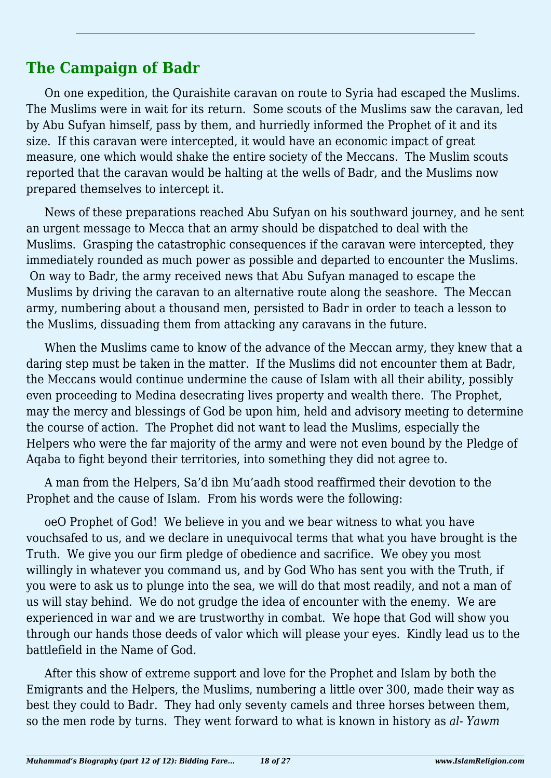## **The Campaign of Badr**

On one expedition, the Quraishite caravan on route to Syria had escaped the Muslims. The Muslims were in wait for its return. Some scouts of the Muslims saw the caravan, led by Abu Sufyan himself, pass by them, and hurriedly informed the Prophet of it and its size. If this caravan were intercepted, it would have an economic impact of great measure, one which would shake the entire society of the Meccans. The Muslim scouts reported that the caravan would be halting at the wells of Badr, and the Muslims now prepared themselves to intercept it.

News of these preparations reached Abu Sufyan on his southward journey, and he sent an urgent message to Mecca that an army should be dispatched to deal with the Muslims. Grasping the catastrophic consequences if the caravan were intercepted, they immediately rounded as much power as possible and departed to encounter the Muslims. On way to Badr, the army received news that Abu Sufyan managed to escape the Muslims by driving the caravan to an alternative route along the seashore. The Meccan army, numbering about a thousand men, persisted to Badr in order to teach a lesson to the Muslims, dissuading them from attacking any caravans in the future.

When the Muslims came to know of the advance of the Meccan army, they knew that a daring step must be taken in the matter. If the Muslims did not encounter them at Badr, the Meccans would continue undermine the cause of Islam with all their ability, possibly even proceeding to Medina desecrating lives property and wealth there. The Prophet, may the mercy and blessings of God be upon him, held and advisory meeting to determine the course of action. The Prophet did not want to lead the Muslims, especially the Helpers who were the far majority of the army and were not even bound by the Pledge of Aqaba to fight beyond their territories, into something they did not agree to.

A man from the Helpers, Sa'd ibn Mu'aadh stood reaffirmed their devotion to the Prophet and the cause of Islam. From his words were the following:

oeO Prophet of God! We believe in you and we bear witness to what you have vouchsafed to us, and we declare in unequivocal terms that what you have brought is the Truth. We give you our firm pledge of obedience and sacrifice. We obey you most willingly in whatever you command us, and by God Who has sent you with the Truth, if you were to ask us to plunge into the sea, we will do that most readily, and not a man of us will stay behind. We do not grudge the idea of encounter with the enemy. We are experienced in war and we are trustworthy in combat. We hope that God will show you through our hands those deeds of valor which will please your eyes. Kindly lead us to the battlefield in the Name of God.

After this show of extreme support and love for the Prophet and Islam by both the Emigrants and the Helpers, the Muslims, numbering a little over 300, made their way as best they could to Badr. They had only seventy camels and three horses between them, so the men rode by turns. They went forward to what is known in history as *al- Yawm*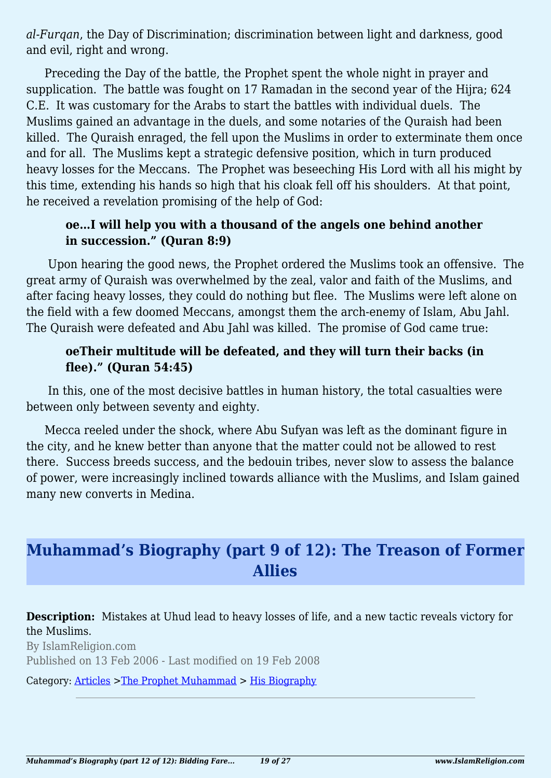*al-Furqan*, the Day of Discrimination; discrimination between light and darkness, good and evil, right and wrong.

Preceding the Day of the battle, the Prophet spent the whole night in prayer and supplication. The battle was fought on 17 Ramadan in the second year of the Hijra; 624 C.E. It was customary for the Arabs to start the battles with individual duels. The Muslims gained an advantage in the duels, and some notaries of the Quraish had been killed. The Quraish enraged, the fell upon the Muslims in order to exterminate them once and for all. The Muslims kept a strategic defensive position, which in turn produced heavy losses for the Meccans. The Prophet was beseeching His Lord with all his might by this time, extending his hands so high that his cloak fell off his shoulders. At that point, he received a revelation promising of the help of God:

#### **oe…I will help you with a thousand of the angels one behind another in succession." (Quran 8:9)**

 Upon hearing the good news, the Prophet ordered the Muslims took an offensive. The great army of Quraish was overwhelmed by the zeal, valor and faith of the Muslims, and after facing heavy losses, they could do nothing but flee. The Muslims were left alone on the field with a few doomed Meccans, amongst them the arch-enemy of Islam, Abu Jahl. The Quraish were defeated and Abu Jahl was killed. The promise of God came true:

#### **oeTheir multitude will be defeated, and they will turn their backs (in flee)." (Quran 54:45)**

 In this, one of the most decisive battles in human history, the total casualties were between only between seventy and eighty.

Mecca reeled under the shock, where Abu Sufyan was left as the dominant figure in the city, and he knew better than anyone that the matter could not be allowed to rest there. Success breeds success, and the bedouin tribes, never slow to assess the balance of power, were increasingly inclined towards alliance with the Muslims, and Islam gained many new converts in Medina.

# **Muhammad's Biography (part 9 of 12): The Treason of Former Allies**

**Description:** Mistakes at Uhud lead to heavy losses of life, and a new tactic reveals victory for the Muslims.

By IslamReligion.com Published on 13 Feb 2006 - Last modified on 19 Feb 2008

Category: [Articles](http://www.islamreligion.com/articles/) >[The Prophet Muhammad](http://www.islamreligion.com/category/79/) > [His Biography](http://www.islamreligion.com/category/82/)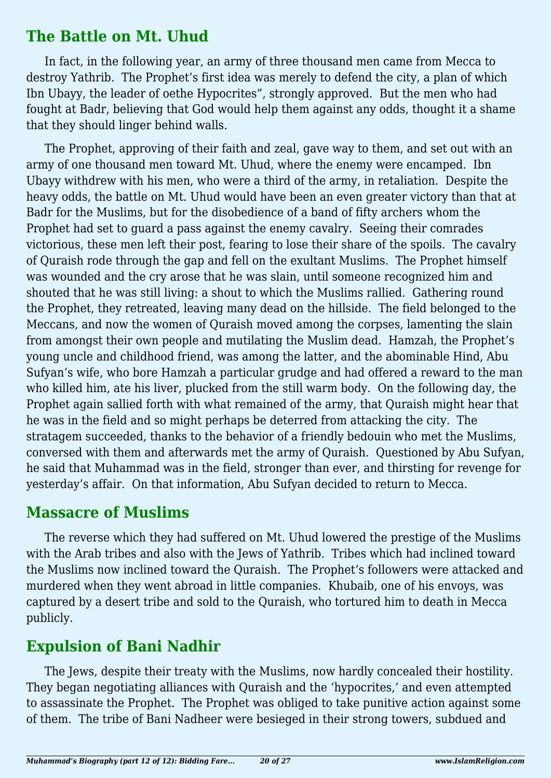#### **The Battle on Mt. Uhud**

In fact, in the following year, an army of three thousand men came from Mecca to destroy Yathrib. The Prophet's first idea was merely to defend the city, a plan of which Ibn Ubayy, the leader of oethe Hypocrites", strongly approved. But the men who had fought at Badr, believing that God would help them against any odds, thought it a shame that they should linger behind walls.

The Prophet, approving of their faith and zeal, gave way to them, and set out with an army of one thousand men toward Mt. Uhud, where the enemy were encamped. Ibn Ubayy withdrew with his men, who were a third of the army, in retaliation. Despite the heavy odds, the battle on Mt. Uhud would have been an even greater victory than that at Badr for the Muslims, but for the disobedience of a band of fifty archers whom the Prophet had set to guard a pass against the enemy cavalry. Seeing their comrades victorious, these men left their post, fearing to lose their share of the spoils. The cavalry of Quraish rode through the gap and fell on the exultant Muslims. The Prophet himself was wounded and the cry arose that he was slain, until someone recognized him and shouted that he was still living: a shout to which the Muslims rallied. Gathering round the Prophet, they retreated, leaving many dead on the hillside. The field belonged to the Meccans, and now the women of Quraish moved among the corpses, lamenting the slain from amongst their own people and mutilating the Muslim dead. Hamzah, the Prophet's young uncle and childhood friend, was among the latter, and the abominable Hind, Abu Sufyan's wife, who bore Hamzah a particular grudge and had offered a reward to the man who killed him, ate his liver, plucked from the still warm body. On the following day, the Prophet again sallied forth with what remained of the army, that Quraish might hear that he was in the field and so might perhaps be deterred from attacking the city. The stratagem succeeded, thanks to the behavior of a friendly bedouin who met the Muslims, conversed with them and afterwards met the army of Quraish. Questioned by Abu Sufyan, he said that Muhammad was in the field, stronger than ever, and thirsting for revenge for yesterday's affair. On that information, Abu Sufyan decided to return to Mecca.

## **Massacre of Muslims**

The reverse which they had suffered on Mt. Uhud lowered the prestige of the Muslims with the Arab tribes and also with the Jews of Yathrib. Tribes which had inclined toward the Muslims now inclined toward the Quraish. The Prophet's followers were attacked and murdered when they went abroad in little companies. Khubaib, one of his envoys, was captured by a desert tribe and sold to the Quraish, who tortured him to death in Mecca publicly.

## **Expulsion of Bani Nadhir**

The Jews, despite their treaty with the Muslims, now hardly concealed their hostility. They began negotiating alliances with Quraish and the 'hypocrites,' and even attempted to assassinate the Prophet. The Prophet was obliged to take punitive action against some of them. The tribe of Bani Nadheer were besieged in their strong towers, subdued and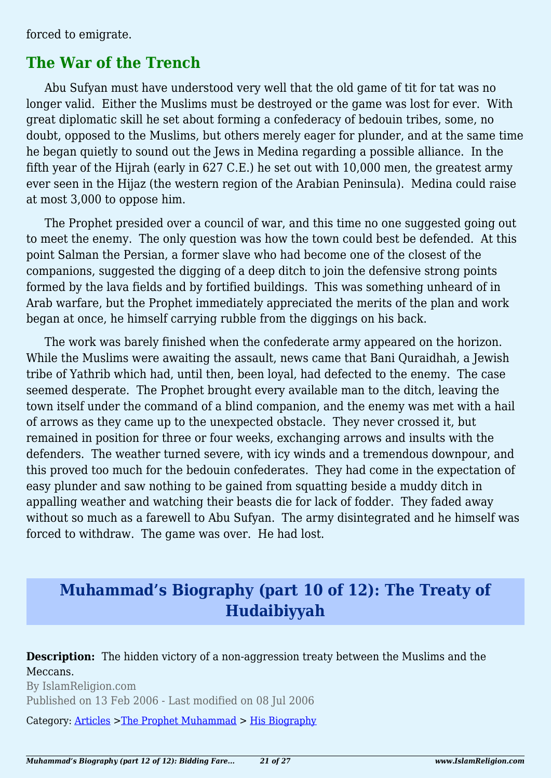forced to emigrate.

#### **The War of the Trench**

Abu Sufyan must have understood very well that the old game of tit for tat was no longer valid. Either the Muslims must be destroyed or the game was lost for ever. With great diplomatic skill he set about forming a confederacy of bedouin tribes, some, no doubt, opposed to the Muslims, but others merely eager for plunder, and at the same time he began quietly to sound out the Jews in Medina regarding a possible alliance. In the fifth year of the Hijrah (early in 627 C.E.) he set out with 10,000 men, the greatest army ever seen in the Hijaz (the western region of the Arabian Peninsula). Medina could raise at most 3,000 to oppose him.

The Prophet presided over a council of war, and this time no one suggested going out to meet the enemy. The only question was how the town could best be defended. At this point Salman the Persian, a former slave who had become one of the closest of the companions, suggested the digging of a deep ditch to join the defensive strong points formed by the lava fields and by fortified buildings. This was something unheard of in Arab warfare, but the Prophet immediately appreciated the merits of the plan and work began at once, he himself carrying rubble from the diggings on his back.

The work was barely finished when the confederate army appeared on the horizon. While the Muslims were awaiting the assault, news came that Bani Quraidhah, a Jewish tribe of Yathrib which had, until then, been loyal, had defected to the enemy. The case seemed desperate. The Prophet brought every available man to the ditch, leaving the town itself under the command of a blind companion, and the enemy was met with a hail of arrows as they came up to the unexpected obstacle. They never crossed it, but remained in position for three or four weeks, exchanging arrows and insults with the defenders. The weather turned severe, with icy winds and a tremendous downpour, and this proved too much for the bedouin confederates. They had come in the expectation of easy plunder and saw nothing to be gained from squatting beside a muddy ditch in appalling weather and watching their beasts die for lack of fodder. They faded away without so much as a farewell to Abu Sufyan. The army disintegrated and he himself was forced to withdraw. The game was over. He had lost.

## **Muhammad's Biography (part 10 of 12): The Treaty of Hudaibiyyah**

**Description:** The hidden victory of a non-aggression treaty between the Muslims and the Meccans.

By IslamReligion.com Published on 13 Feb 2006 - Last modified on 08 Jul 2006

Category: [Articles](http://www.islamreligion.com/articles/) >[The Prophet Muhammad](http://www.islamreligion.com/category/79/) > [His Biography](http://www.islamreligion.com/category/82/)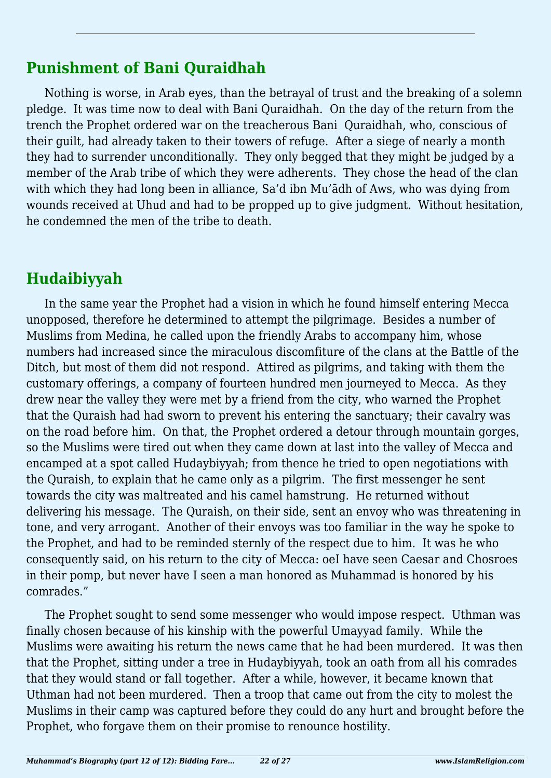## **Punishment of Bani Quraidhah**

Nothing is worse, in Arab eyes, than the betrayal of trust and the breaking of a solemn pledge. It was time now to deal with Bani Quraidhah. On the day of the return from the trench the Prophet ordered war on the treacherous Bani Quraidhah, who, conscious of their guilt, had already taken to their towers of refuge. After a siege of nearly a month they had to surrender unconditionally. They only begged that they might be judged by a member of the Arab tribe of which they were adherents. They chose the head of the clan with which they had long been in alliance, Sa'd ibn Mu'ādh of Aws, who was dying from wounds received at Uhud and had to be propped up to give judgment. Without hesitation, he condemned the men of the tribe to death.

# **Hudaibiyyah**

In the same year the Prophet had a vision in which he found himself entering Mecca unopposed, therefore he determined to attempt the pilgrimage. Besides a number of Muslims from Medina, he called upon the friendly Arabs to accompany him, whose numbers had increased since the miraculous discomfiture of the clans at the Battle of the Ditch, but most of them did not respond. Attired as pilgrims, and taking with them the customary offerings, a company of fourteen hundred men journeyed to Mecca. As they drew near the valley they were met by a friend from the city, who warned the Prophet that the Quraish had had sworn to prevent his entering the sanctuary; their cavalry was on the road before him. On that, the Prophet ordered a detour through mountain gorges, so the Muslims were tired out when they came down at last into the valley of Mecca and encamped at a spot called Hudaybiyyah; from thence he tried to open negotiations with the Quraish, to explain that he came only as a pilgrim. The first messenger he sent towards the city was maltreated and his camel hamstrung. He returned without delivering his message. The Quraish, on their side, sent an envoy who was threatening in tone, and very arrogant. Another of their envoys was too familiar in the way he spoke to the Prophet, and had to be reminded sternly of the respect due to him. It was he who consequently said, on his return to the city of Mecca: oeI have seen Caesar and Chosroes in their pomp, but never have I seen a man honored as Muhammad is honored by his comrades."

The Prophet sought to send some messenger who would impose respect. Uthman was finally chosen because of his kinship with the powerful Umayyad family. While the Muslims were awaiting his return the news came that he had been murdered. It was then that the Prophet, sitting under a tree in Hudaybiyyah, took an oath from all his comrades that they would stand or fall together. After a while, however, it became known that Uthman had not been murdered. Then a troop that came out from the city to molest the Muslims in their camp was captured before they could do any hurt and brought before the Prophet, who forgave them on their promise to renounce hostility.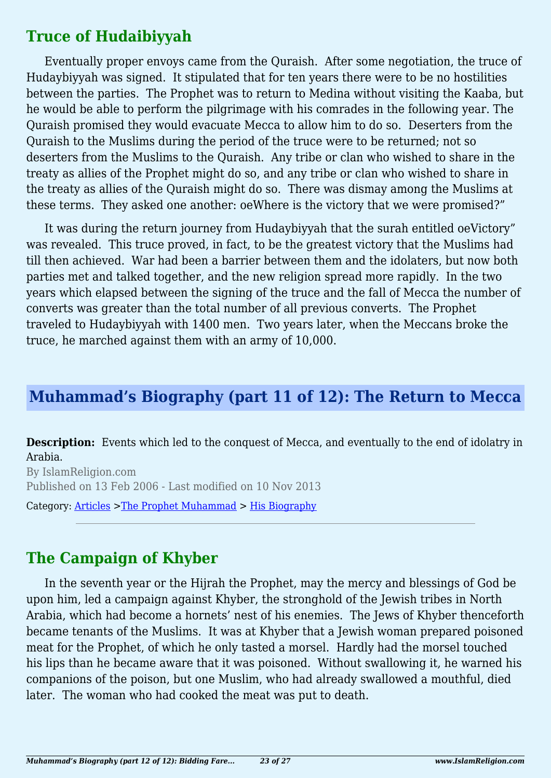#### **Truce of Hudaibiyyah**

Eventually proper envoys came from the Quraish. After some negotiation, the truce of Hudaybiyyah was signed. It stipulated that for ten years there were to be no hostilities between the parties. The Prophet was to return to Medina without visiting the Kaaba, but he would be able to perform the pilgrimage with his comrades in the following year. The Quraish promised they would evacuate Mecca to allow him to do so. Deserters from the Quraish to the Muslims during the period of the truce were to be returned; not so deserters from the Muslims to the Quraish. Any tribe or clan who wished to share in the treaty as allies of the Prophet might do so, and any tribe or clan who wished to share in the treaty as allies of the Quraish might do so. There was dismay among the Muslims at these terms. They asked one another: oeWhere is the victory that we were promised?"

It was during the return journey from Hudaybiyyah that the surah entitled oeVictory" was revealed. This truce proved, in fact, to be the greatest victory that the Muslims had till then achieved. War had been a barrier between them and the idolaters, but now both parties met and talked together, and the new religion spread more rapidly. In the two years which elapsed between the signing of the truce and the fall of Mecca the number of converts was greater than the total number of all previous converts. The Prophet traveled to Hudaybiyyah with 1400 men. Two years later, when the Meccans broke the truce, he marched against them with an army of 10,000.

## **Muhammad's Biography (part 11 of 12): The Return to Mecca**

**Description:** Events which led to the conquest of Mecca, and eventually to the end of idolatry in Arabia.

By IslamReligion.com Published on 13 Feb 2006 - Last modified on 10 Nov 2013

Category: [Articles](http://www.islamreligion.com/articles/) >[The Prophet Muhammad](http://www.islamreligion.com/category/79/) > [His Biography](http://www.islamreligion.com/category/82/)

#### **The Campaign of Khyber**

In the seventh year or the Hijrah the Prophet, may the mercy and blessings of God be upon him, led a campaign against Khyber, the stronghold of the Jewish tribes in North Arabia, which had become a hornets' nest of his enemies. The Jews of Khyber thenceforth became tenants of the Muslims. It was at Khyber that a Jewish woman prepared poisoned meat for the Prophet, of which he only tasted a morsel. Hardly had the morsel touched his lips than he became aware that it was poisoned. Without swallowing it, he warned his companions of the poison, but one Muslim, who had already swallowed a mouthful, died later. The woman who had cooked the meat was put to death.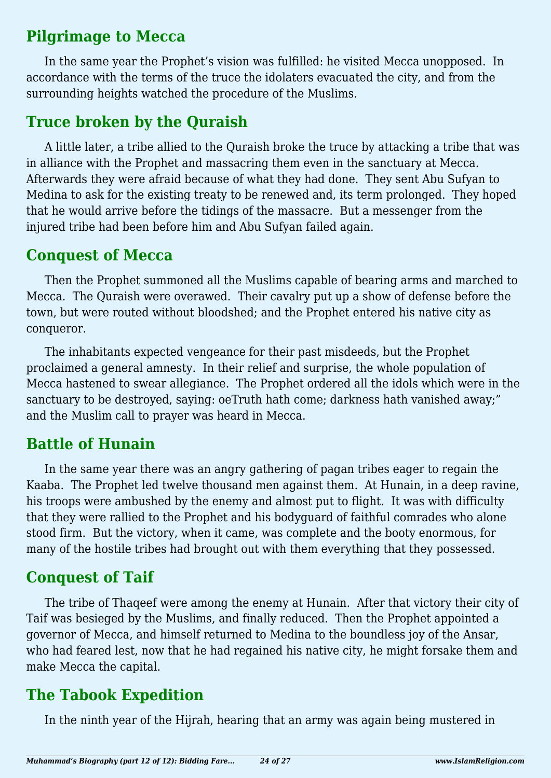## **Pilgrimage to Mecca**

In the same year the Prophet's vision was fulfilled: he visited Mecca unopposed. In accordance with the terms of the truce the idolaters evacuated the city, and from the surrounding heights watched the procedure of the Muslims.

## **Truce broken by the Quraish**

A little later, a tribe allied to the Quraish broke the truce by attacking a tribe that was in alliance with the Prophet and massacring them even in the sanctuary at Mecca. Afterwards they were afraid because of what they had done. They sent Abu Sufyan to Medina to ask for the existing treaty to be renewed and, its term prolonged. They hoped that he would arrive before the tidings of the massacre. But a messenger from the injured tribe had been before him and Abu Sufyan failed again.

#### **Conquest of Mecca**

Then the Prophet summoned all the Muslims capable of bearing arms and marched to Mecca. The Quraish were overawed. Their cavalry put up a show of defense before the town, but were routed without bloodshed; and the Prophet entered his native city as conqueror.

The inhabitants expected vengeance for their past misdeeds, but the Prophet proclaimed a general amnesty. In their relief and surprise, the whole population of Mecca hastened to swear allegiance. The Prophet ordered all the idols which were in the sanctuary to be destroyed, saying: oeTruth hath come; darkness hath vanished away;" and the Muslim call to prayer was heard in Mecca.

## **Battle of Hunain**

In the same year there was an angry gathering of pagan tribes eager to regain the Kaaba. The Prophet led twelve thousand men against them. At Hunain, in a deep ravine, his troops were ambushed by the enemy and almost put to flight. It was with difficulty that they were rallied to the Prophet and his bodyguard of faithful comrades who alone stood firm. But the victory, when it came, was complete and the booty enormous, for many of the hostile tribes had brought out with them everything that they possessed.

## **Conquest of Taif**

The tribe of Thaqeef were among the enemy at Hunain. After that victory their city of Taif was besieged by the Muslims, and finally reduced. Then the Prophet appointed a governor of Mecca, and himself returned to Medina to the boundless joy of the Ansar, who had feared lest, now that he had regained his native city, he might forsake them and make Mecca the capital.

## **The Tabook Expedition**

In the ninth year of the Hijrah, hearing that an army was again being mustered in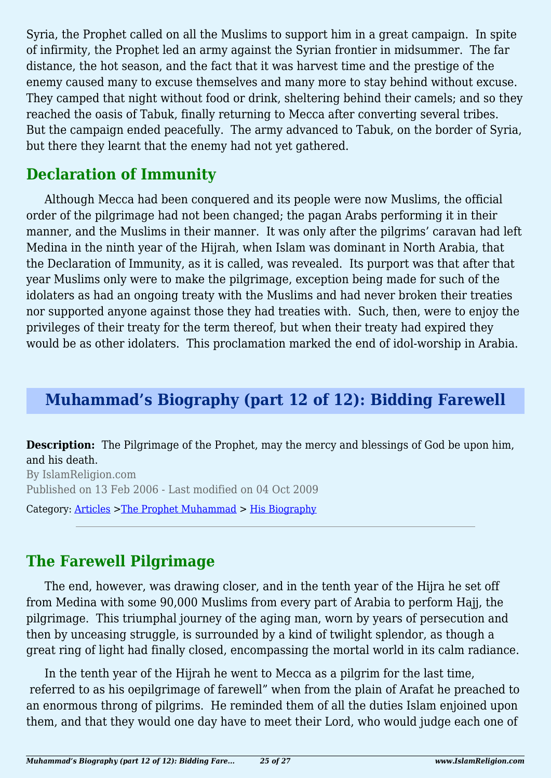Syria, the Prophet called on all the Muslims to support him in a great campaign. In spite of infirmity, the Prophet led an army against the Syrian frontier in midsummer. The far distance, the hot season, and the fact that it was harvest time and the prestige of the enemy caused many to excuse themselves and many more to stay behind without excuse. They camped that night without food or drink, sheltering behind their camels; and so they reached the oasis of Tabuk, finally returning to Mecca after converting several tribes. But the campaign ended peacefully. The army advanced to Tabuk, on the border of Syria, but there they learnt that the enemy had not yet gathered.

## **Declaration of Immunity**

Although Mecca had been conquered and its people were now Muslims, the official order of the pilgrimage had not been changed; the pagan Arabs performing it in their manner, and the Muslims in their manner. It was only after the pilgrims' caravan had left Medina in the ninth year of the Hijrah, when Islam was dominant in North Arabia, that the Declaration of Immunity, as it is called, was revealed. Its purport was that after that year Muslims only were to make the pilgrimage, exception being made for such of the idolaters as had an ongoing treaty with the Muslims and had never broken their treaties nor supported anyone against those they had treaties with. Such, then, were to enjoy the privileges of their treaty for the term thereof, but when their treaty had expired they would be as other idolaters. This proclamation marked the end of idol-worship in Arabia.

## **Muhammad's Biography (part 12 of 12): Bidding Farewell**

**Description:** The Pilgrimage of the Prophet, may the mercy and blessings of God be upon him, and his death.

By IslamReligion.com Published on 13 Feb 2006 - Last modified on 04 Oct 2009

Category: [Articles](http://www.islamreligion.com/articles/) >[The Prophet Muhammad](http://www.islamreligion.com/category/79/) > [His Biography](http://www.islamreligion.com/category/82/)

## **The Farewell Pilgrimage**

The end, however, was drawing closer, and in the tenth year of the Hijra he set off from Medina with some 90,000 Muslims from every part of Arabia to perform Hajj, the pilgrimage. This triumphal journey of the aging man, worn by years of persecution and then by unceasing struggle, is surrounded by a kind of twilight splendor, as though a great ring of light had finally closed, encompassing the mortal world in its calm radiance.

In the tenth year of the Hijrah he went to Mecca as a pilgrim for the last time, referred to as his oepilgrimage of farewell" when from the plain of Arafat he preached to an enormous throng of pilgrims. He reminded them of all the duties Islam enjoined upon them, and that they would one day have to meet their Lord, who would judge each one of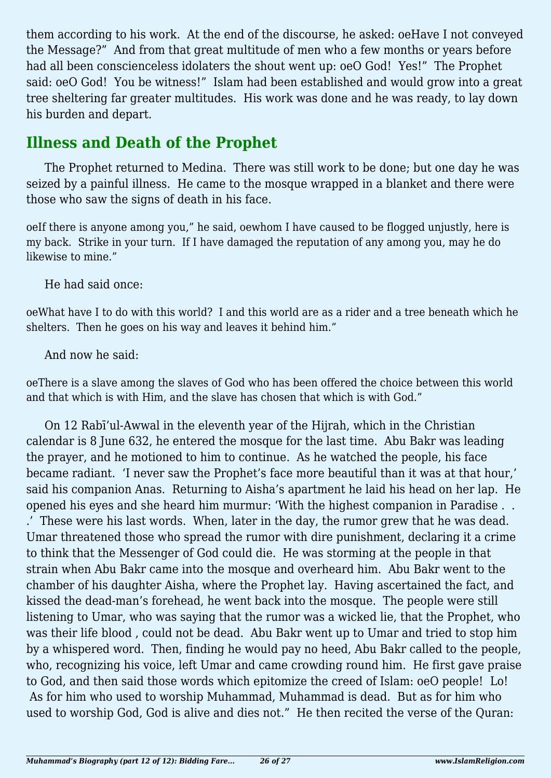them according to his work. At the end of the discourse, he asked: oeHave I not conveyed the Message?" And from that great multitude of men who a few months or years before had all been conscienceless idolaters the shout went up: oeO God! Yes!" The Prophet said: oeO God! You be witness!" Islam had been established and would grow into a great tree sheltering far greater multitudes. His work was done and he was ready, to lay down his burden and depart.

## **Illness and Death of the Prophet**

The Prophet returned to Medina. There was still work to be done; but one day he was seized by a painful illness. He came to the mosque wrapped in a blanket and there were those who saw the signs of death in his face.

oeIf there is anyone among you," he said, oewhom I have caused to be flogged unjustly, here is my back. Strike in your turn. If I have damaged the reputation of any among you, may he do likewise to mine."

He had said once:

oeWhat have I to do with this world? I and this world are as a rider and a tree beneath which he shelters. Then he goes on his way and leaves it behind him."

And now he said:

oeThere is a slave among the slaves of God who has been offered the choice between this world and that which is with Him, and the slave has chosen that which is with God."

On 12 Rabī'ul-Awwal in the eleventh year of the Hijrah, which in the Christian calendar is 8 June 632, he entered the mosque for the last time. Abu Bakr was leading the prayer, and he motioned to him to continue. As he watched the people, his face became radiant. 'I never saw the Prophet's face more beautiful than it was at that hour,' said his companion Anas. Returning to Aisha's apartment he laid his head on her lap. He opened his eyes and she heard him murmur: 'With the highest companion in Paradise . . .' These were his last words. When, later in the day, the rumor grew that he was dead. Umar threatened those who spread the rumor with dire punishment, declaring it a crime to think that the Messenger of God could die. He was storming at the people in that strain when Abu Bakr came into the mosque and overheard him. Abu Bakr went to the chamber of his daughter Aisha, where the Prophet lay. Having ascertained the fact, and kissed the dead-man's forehead, he went back into the mosque. The people were still listening to Umar, who was saying that the rumor was a wicked lie, that the Prophet, who was their life blood , could not be dead. Abu Bakr went up to Umar and tried to stop him by a whispered word. Then, finding he would pay no heed, Abu Bakr called to the people, who, recognizing his voice, left Umar and came crowding round him. He first gave praise to God, and then said those words which epitomize the creed of Islam: oeO people! Lo! As for him who used to worship Muhammad, Muhammad is dead. But as for him who used to worship God, God is alive and dies not." He then recited the verse of the Quran: